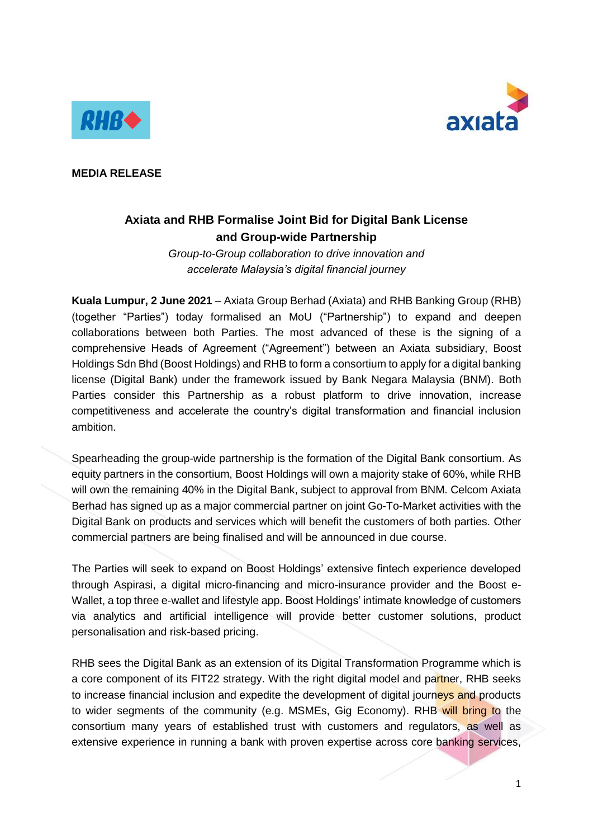



**MEDIA RELEASE**

## **Axiata and RHB Formalise Joint Bid for Digital Bank License and Group-wide Partnership**

*Group-to-Group collaboration to drive innovation and accelerate Malaysia's digital financial journey*

**Kuala Lumpur, 2 June 2021** – Axiata Group Berhad (Axiata) and RHB Banking Group (RHB) (together "Parties") today formalised an MoU ("Partnership") to expand and deepen collaborations between both Parties. The most advanced of these is the signing of a comprehensive Heads of Agreement ("Agreement") between an Axiata subsidiary, Boost Holdings Sdn Bhd (Boost Holdings) and RHB to form a consortium to apply for a digital banking license (Digital Bank) under the framework issued by Bank Negara Malaysia (BNM). Both Parties consider this Partnership as a robust platform to drive innovation, increase competitiveness and accelerate the country's digital transformation and financial inclusion ambition.

Spearheading the group-wide partnership is the formation of the Digital Bank consortium. As equity partners in the consortium, Boost Holdings will own a majority stake of 60%, while RHB will own the remaining 40% in the Digital Bank, subject to approval from BNM. Celcom Axiata Berhad has signed up as a major commercial partner on joint Go-To-Market activities with the Digital Bank on products and services which will benefit the customers of both parties. Other commercial partners are being finalised and will be announced in due course.

The Parties will seek to expand on Boost Holdings' extensive fintech experience developed through Aspirasi, a digital micro-financing and micro-insurance provider and the Boost e-Wallet, a top three e-wallet and lifestyle app. Boost Holdings' intimate knowledge of customers via analytics and artificial intelligence will provide better customer solutions, product personalisation and risk-based pricing.

RHB sees the Digital Bank as an extension of its Digital Transformation Programme which is a core component of its FIT22 strategy. With the right digital model and partner, RHB seeks to increase financial inclusion and expedite the development of digital journeys and products to wider segments of the community (e.g. MSMEs, Gig Economy). RHB will bring to the consortium many years of established trust with customers and regulators, as well as extensive experience in running a bank with proven expertise across core banking services,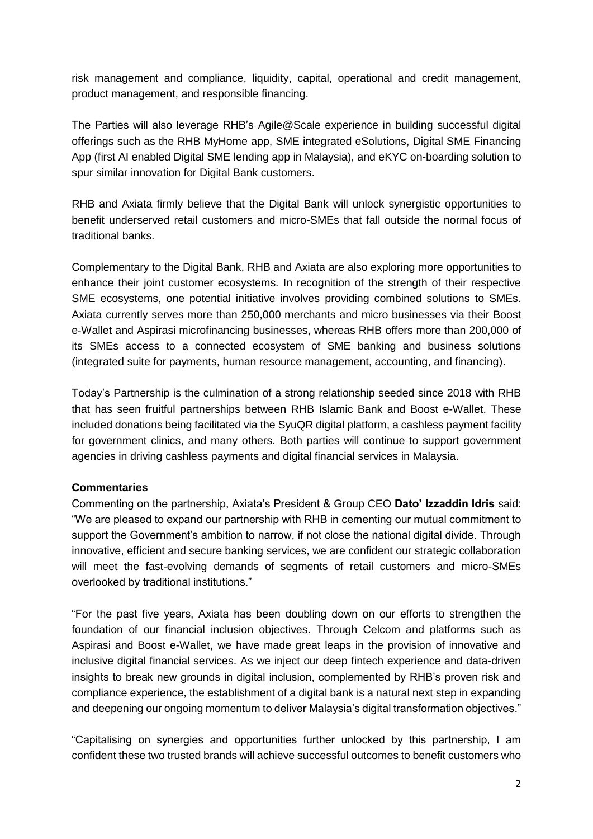risk management and compliance, liquidity, capital, operational and credit management, product management, and responsible financing.

The Parties will also leverage RHB's Agile@Scale experience in building successful digital offerings such as the RHB MyHome app, SME integrated eSolutions, Digital SME Financing App (first AI enabled Digital SME lending app in Malaysia), and eKYC on-boarding solution to spur similar innovation for Digital Bank customers.

RHB and Axiata firmly believe that the Digital Bank will unlock synergistic opportunities to benefit underserved retail customers and micro-SMEs that fall outside the normal focus of traditional banks.

Complementary to the Digital Bank, RHB and Axiata are also exploring more opportunities to enhance their joint customer ecosystems. In recognition of the strength of their respective SME ecosystems, one potential initiative involves providing combined solutions to SMEs. Axiata currently serves more than 250,000 merchants and micro businesses via their Boost e-Wallet and Aspirasi microfinancing businesses, whereas RHB offers more than 200,000 of its SMEs access to a connected ecosystem of SME banking and business solutions (integrated suite for payments, human resource management, accounting, and financing).

Today's Partnership is the culmination of a strong relationship seeded since 2018 with RHB that has seen fruitful partnerships between RHB Islamic Bank and Boost e-Wallet. These included donations being facilitated via the SyuQR digital platform, a cashless payment facility for government clinics, and many others. Both parties will continue to support government agencies in driving cashless payments and digital financial services in Malaysia.

## **Commentaries**

Commenting on the partnership, Axiata's President & Group CEO **Dato' Izzaddin Idris** said: "We are pleased to expand our partnership with RHB in cementing our mutual commitment to support the Government's ambition to narrow, if not close the national digital divide. Through innovative, efficient and secure banking services, we are confident our strategic collaboration will meet the fast-evolving demands of segments of retail customers and micro-SMEs overlooked by traditional institutions."

"For the past five years, Axiata has been doubling down on our efforts to strengthen the foundation of our financial inclusion objectives. Through Celcom and platforms such as Aspirasi and Boost e-Wallet, we have made great leaps in the provision of innovative and inclusive digital financial services. As we inject our deep fintech experience and data-driven insights to break new grounds in digital inclusion, complemented by RHB's proven risk and compliance experience, the establishment of a digital bank is a natural next step in expanding and deepening our ongoing momentum to deliver Malaysia's digital transformation objectives."

"Capitalising on synergies and opportunities further unlocked by this partnership, I am confident these two trusted brands will achieve successful outcomes to benefit customers who